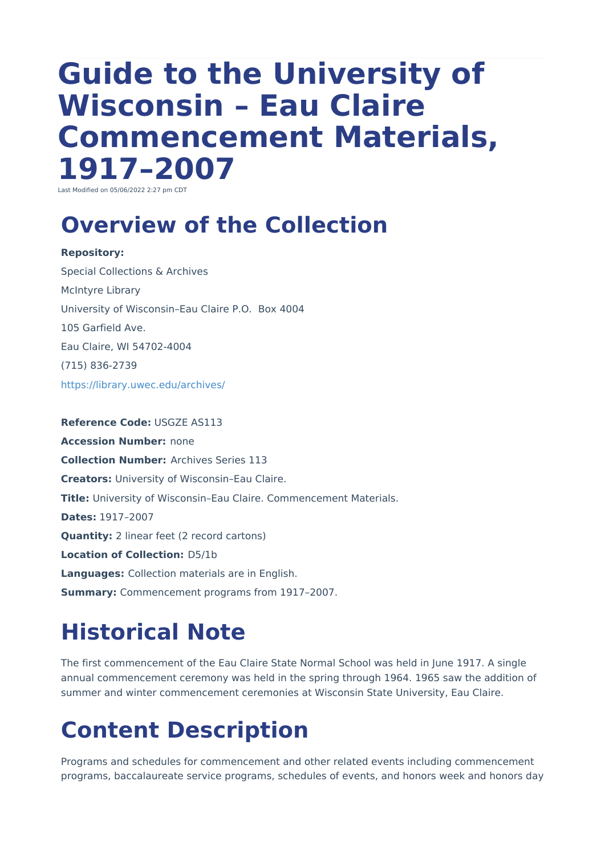# **Guide to the University of Wisconsin – Eau Claire Commencement Materials, 1917–2007**

Last Modified on 05/06/2022 2:27 pm CDT

#### **Overview of the Collection**

**Repository:** Special Collections & Archives McIntyre Library University of Wisconsin–Eau Claire P.O. Box 4004 105 Garfield Ave. Eau Claire, WI 54702-4004 (715) 836-2739 <https://library.uwec.edu/archives/>

**Reference Code:** USGZE AS113 **Accession Number:** none **Collection Number:** Archives Series 113 **Creators:** University of Wisconsin–Eau Claire. **Title:** University of Wisconsin–Eau Claire. Commencement Materials. **Dates:** 1917–2007 **Quantity:** 2 linear feet (2 record cartons) **Location of Collection:** D5/1b **Languages:** Collection materials are in English. **Summary:** Commencement programs from 1917–2007.

### **Historical Note**

The first commencement of the Eau Claire State Normal School was held in June 1917. A single annual commencement ceremony was held in the spring through 1964. 1965 saw the addition of summer and winter commencement ceremonies at Wisconsin State University, Eau Claire.

## **Content Description**

Programs and schedules for commencement and other related events including commencement programs, baccalaureate service programs, schedules of events, and honors week and honors day